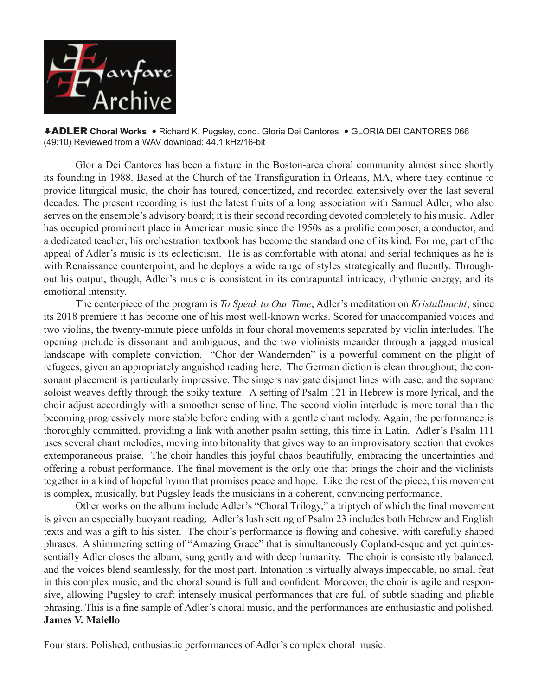

ADLER **Choral Works**  Richard K. Pugsley, cond. Gloria Dei Cantores GLORIA DEI CANTORES 066 (49:10) Reviewed from a WAV download: 44.1 kHz/16-bit

 Gloria Dei Cantores has been a fixture in the Boston-area choral community almost since shortly its founding in 1988. Based at the Church of the Transfiguration in Orleans, MA, where they continue to provide liturgical music, the choir has toured, concertized, and recorded extensively over the last several decades. The present recording is just the latest fruits of a long association with Samuel Adler, who also serves on the ensemble's advisory board; it is their second recording devoted completely to his music. Adler has occupied prominent place in American music since the 1950s as a prolific composer, a conductor, and a dedicated teacher; his orchestration textbook has become the standard one of its kind. For me, part of the appeal of Adler's music is its eclecticism. He is as comfortable with atonal and serial techniques as he is with Renaissance counterpoint, and he deploys a wide range of styles strategically and fluently. Throughout his output, though, Adler's music is consistent in its contrapuntal intricacy, rhythmic energy, and its emotional intensity.

 The centerpiece of the program is *To Speak to Our Time*, Adler's meditation on *Kristallnacht*; since its 2018 premiere it has become one of his most well-known works. Scored for unaccompanied voices and two violins, the twenty-minute piece unfolds in four choral movements separated by violin interludes. The opening prelude is dissonant and ambiguous, and the two violinists meander through a jagged musical landscape with complete conviction. "Chor der Wandernden" is a powerful comment on the plight of refugees, given an appropriately anguished reading here. The German diction is clean throughout; the consonant placement is particularly impressive. The singers navigate disjunct lines with ease, and the soprano soloist weaves deftly through the spiky texture. A setting of Psalm 121 in Hebrew is more lyrical, and the choir adjust accordingly with a smoother sense of line. The second violin interlude is more tonal than the becoming progressively more stable before ending with a gentle chant melody. Again, the performance is thoroughly committed, providing a link with another psalm setting, this time in Latin. Adler's Psalm 111 uses several chant melodies, moving into bitonality that gives way to an improvisatory section that evokes extemporaneous praise. The choir handles this joyful chaos beautifully, embracing the uncertainties and offering a robust performance. The final movement is the only one that brings the choir and the violinists together in a kind of hopeful hymn that promises peace and hope. Like the rest of the piece, this movement is complex, musically, but Pugsley leads the musicians in a coherent, convincing performance.

 Other works on the album include Adler's "Choral Trilogy," a triptych of which the final movement is given an especially buoyant reading. Adler's lush setting of Psalm 23 includes both Hebrew and English texts and was a gift to his sister. The choir's performance is flowing and cohesive, with carefully shaped phrases. A shimmering setting of "Amazing Grace" that is simultaneously Copland-esque and yet quintessentially Adler closes the album, sung gently and with deep humanity. The choir is consistently balanced, and the voices blend seamlessly, for the most part. Intonation is virtually always impeccable, no small feat in this complex music, and the choral sound is full and confident. Moreover, the choir is agile and responsive, allowing Pugsley to craft intensely musical performances that are full of subtle shading and pliable phrasing. This is a fine sample of Adler's choral music, and the performances are enthusiastic and polished. **James V. Maiello**

Four stars. Polished, enthusiastic performances of Adler's complex choral music.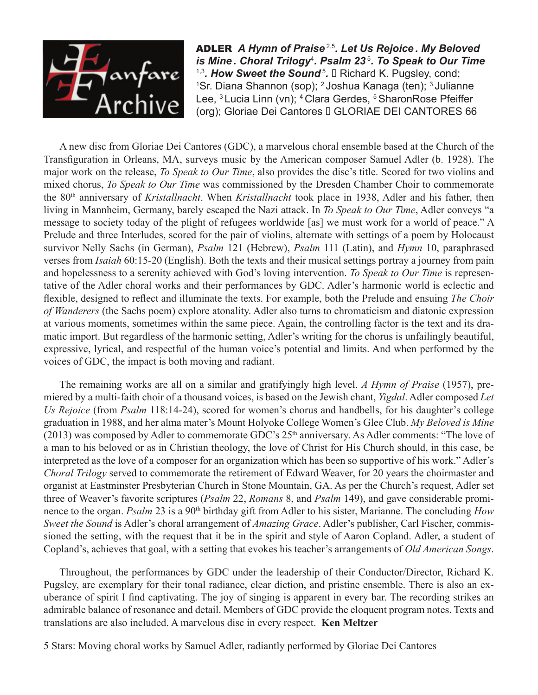

ADLER *A Hymn of Praise* 2,5*. Let Us Rejoice . My Beloved is Mine . Choral Trilogy*<sup>4</sup> *. Psalm 23*<sup>5</sup>*. To Speak to Our Time* <sup>1,3</sup>. How Sweet the Sound<sup>5</sup>. □ Richard K. Pugsley, cond; <sup>1</sup>Sr. Diana Shannon (sop); <sup>2</sup> Joshua Kanaga (ten); <sup>3</sup> Julianne Lee, <sup>3</sup> Lucia Linn (vn); <sup>4</sup> Clara Gerdes, <sup>5</sup> SharonRose Pfeiffer (org); Gloriae Dei Cantores □ GLORIAE DEI CANTORES 66

A new disc from Gloriae Dei Cantores (GDC), a marvelous choral ensemble based at the Church of the Transfiguration in Orleans, MA, surveys music by the American composer Samuel Adler (b. 1928). The major work on the release, *To Speak to Our Time*, also provides the disc's title. Scored for two violins and mixed chorus, *To Speak to Our Time* was commissioned by the Dresden Chamber Choir to commemorate the 80th anniversary of *Kristallnacht*. When *Kristallnacht* took place in 1938, Adler and his father, then living in Mannheim, Germany, barely escaped the Nazi attack. In *To Speak to Our Time*, Adler conveys "a message to society today of the plight of refugees worldwide [as] we must work for a world of peace." A Prelude and three Interludes, scored for the pair of violins, alternate with settings of a poem by Holocaust survivor Nelly Sachs (in German), *Psalm* 121 (Hebrew), *Psalm* 111 (Latin), and *Hymn* 10, paraphrased verses from *Isaiah* 60:15-20 (English). Both the texts and their musical settings portray a journey from pain and hopelessness to a serenity achieved with God's loving intervention. *To Speak to Our Time* is representative of the Adler choral works and their performances by GDC. Adler's harmonic world is eclectic and flexible, designed to reflect and illuminate the texts. For example, both the Prelude and ensuing *The Choir of Wanderers* (the Sachs poem) explore atonality. Adler also turns to chromaticism and diatonic expression at various moments, sometimes within the same piece. Again, the controlling factor is the text and its dramatic import. But regardless of the harmonic setting, Adler's writing for the chorus is unfailingly beautiful, expressive, lyrical, and respectful of the human voice's potential and limits. And when performed by the voices of GDC, the impact is both moving and radiant.

The remaining works are all on a similar and gratifyingly high level. *A Hymn of Praise* (1957), premiered by a multi-faith choir of a thousand voices, is based on the Jewish chant, *Yigdal*. Adler composed *Let Us Rejoice* (from *Psalm* 118:14-24), scored for women's chorus and handbells, for his daughter's college graduation in 1988, and her alma mater's Mount Holyoke College Women's Glee Club. *My Beloved is Mine*  (2013) was composed by Adler to commemorate GDC's  $25<sup>th</sup>$  anniversary. As Adler comments: "The love of a man to his beloved or as in Christian theology, the love of Christ for His Church should, in this case, be interpreted as the love of a composer for an organization which has been so supportive of his work." Adler's *Choral Trilogy* served to commemorate the retirement of Edward Weaver, for 20 years the choirmaster and organist at Eastminster Presbyterian Church in Stone Mountain, GA. As per the Church's request, Adler set three of Weaver's favorite scriptures (*Psalm* 22, *Romans* 8, and *Psalm* 149), and gave considerable prominence to the organ. *Psalm* 23 is a 90<sup>th</sup> birthday gift from Adler to his sister, Marianne. The concluding *How Sweet the Sound* is Adler's choral arrangement of *Amazing Grace*. Adler's publisher, Carl Fischer, commissioned the setting, with the request that it be in the spirit and style of Aaron Copland. Adler, a student of Copland's, achieves that goal, with a setting that evokes his teacher's arrangements of *Old American Songs*.

Throughout, the performances by GDC under the leadership of their Conductor/Director, Richard K. Pugsley, are exemplary for their tonal radiance, clear diction, and pristine ensemble. There is also an exuberance of spirit I find captivating. The joy of singing is apparent in every bar. The recording strikes an admirable balance of resonance and detail. Members of GDC provide the eloquent program notes. Texts and translations are also included. A marvelous disc in every respect. **Ken Meltzer**

5 Stars: Moving choral works by Samuel Adler, radiantly performed by Gloriae Dei Cantores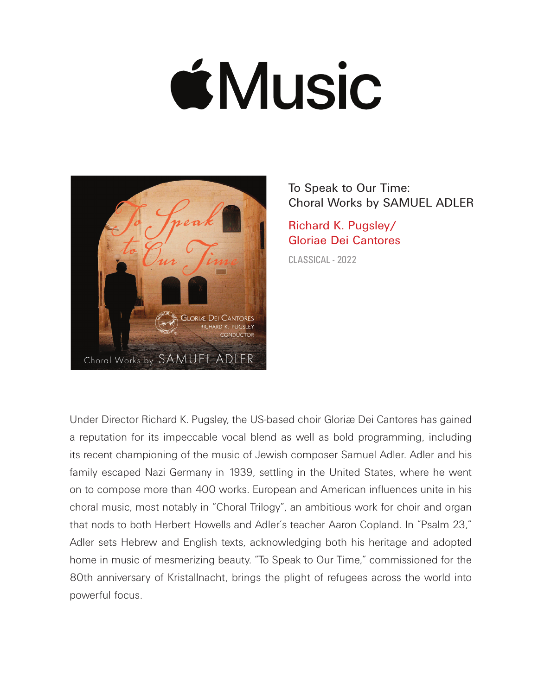## **ÉMusic**



To Speak to Our Time: Choral Works by SAMUEL ADLER

Richard K. Pugsley/ Gloriae Dei Cantores

CLASSICAL - 2022

Under Director Richard K. Pugsley, the US-based choir Gloriæ Dei Cantores has gained a reputation for its impeccable vocal blend as well as bold programming, including its recent championing of the music of Jewish composer Samuel Adler. Adler and his family escaped Nazi Germany in 1939, settling in the United States, where he went on to compose more than 400 works. European and American influences unite in his choral music, most notably in "Choral Trilogy", an ambitious work for choir and organ that nods to both Herbert Howells and Adler's teacher Aaron Copland. In "Psalm 23," Adler sets Hebrew and English texts, acknowledging both his heritage and adopted home in music of mesmerizing beauty. "To Speak to Our Time," commissioned for the 80th anniversary of Kristallnacht, brings the plight of refugees across the world into powerful focus.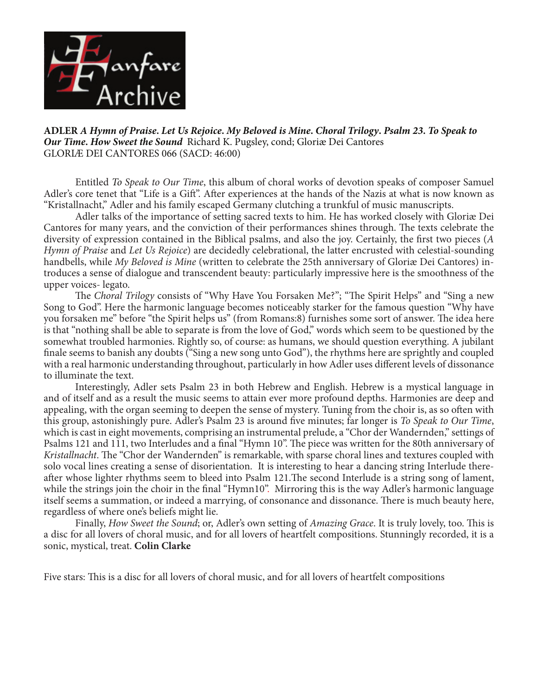

**ADLER** *A Hymn of Praise***.** *Let Us Rejoice***.** *My Beloved is Mine***.** *Choral Trilogy***.** *Psalm 23***.** *To Speak to Our Time***.** *How Sweet the Sound*Richard K. Pugsley, cond; Gloriæ Dei Cantores GLORIÆ DEI CANTORES 066 (SACD: 46:00)

Entitled *To Speak to Our Time*, this album of choral works of devotion speaks of composer Samuel Adler's core tenet that "Life is a Gift". After experiences at the hands of the Nazis at what is now known as "Kristallnacht," Adler and his family escaped Germany clutching a trunkful of music manuscripts.

Adler talks of the importance of setting sacred texts to him. He has worked closely with Gloriæ Dei Cantores for many years, and the conviction of their performances shines through. The texts celebrate the diversity of expression contained in the Biblical psalms, and also the joy. Certainly, the first two pieces (*A Hymn of Praise* and *Let Us Rejoice*) are decidedly celebrational, the latter encrusted with celestial-sounding handbells, while *My Beloved is Mine* (written to celebrate the 25th anniversary of Gloriæ Dei Cantores) introduces a sense of dialogue and transcendent beauty: particularly impressive here is the smoothness of the upper voices- legato.

The *Choral Trilogy* consists of "Why Have You Forsaken Me?"; "The Spirit Helps" and "Sing a new Song to God". Here the harmonic language becomes noticeably starker for the famous question "Why have you forsaken me" before "the Spirit helps us" (from Romans:8) furnishes some sort of answer. The idea here is that "nothing shall be able to separate is from the love of God," words which seem to be questioned by the somewhat troubled harmonies. Rightly so, of course: as humans, we should question everything. A jubilant finale seems to banish any doubts ("Sing a new song unto God"), the rhythms here are sprightly and coupled with a real harmonic understanding throughout, particularly in how Adler uses different levels of dissonance to illuminate the text.

Interestingly, Adler sets Psalm 23 in both Hebrew and English. Hebrew is a mystical language in and of itself and as a result the music seems to attain ever more profound depths. Harmonies are deep and appealing, with the organ seeming to deepen the sense of mystery. Tuning from the choir is, as so often with this group, astonishingly pure. Adler's Psalm 23 is around five minutes; far longer is *To Speak to Our Time*, which is cast in eight movements, comprising an instrumental prelude, a "Chor der Wandernden," settings of Psalms 121 and 111, two Interludes and a final "Hymn 10". The piece was written for the 80th anniversary of *Kristallnacht*. The "Chor der Wandernden" is remarkable, with sparse choral lines and textures coupled with solo vocal lines creating a sense of disorientation. It is interesting to hear a dancing string Interlude thereafter whose lighter rhythms seem to bleed into Psalm 121.The second Interlude is a string song of lament, while the strings join the choir in the final "Hymn10". Mirroring this is the way Adler's harmonic language itself seems a summation, or indeed a marrying, of consonance and dissonance. There is much beauty here, regardless of where one's beliefs might lie.

Finally, *How Sweet the Sound*; or, Adler's own setting of *Amazing Grace*. It is truly lovely, too. This is a disc for all lovers of choral music, and for all lovers of heartfelt compositions. Stunningly recorded, it is a sonic, mystical, treat. **Colin Clarke**

Five stars: This is a disc for all lovers of choral music, and for all lovers of heartfelt compositions